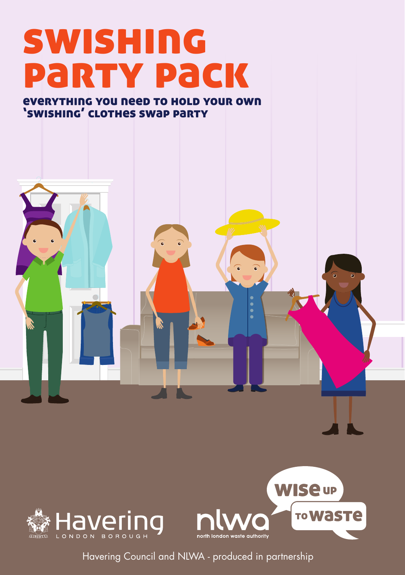# swishing party pack

#### everything you need to hold your own 'swishing' clothes swap party



 $\bullet$ 



Havering Council and NLWA - produced in partnership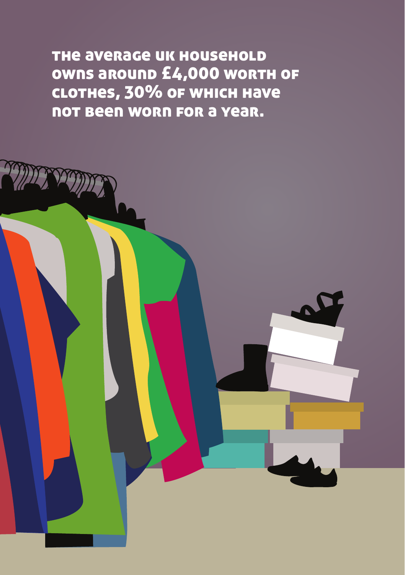the average uk household owns around £4,000 worth of clothes, 30% of which have not been worn for a year.

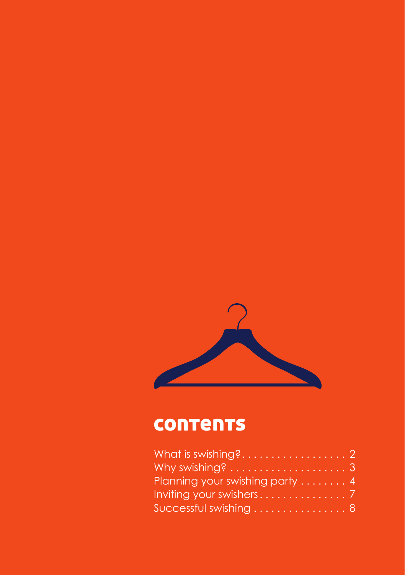

# contents

| Why swishing? $\ldots \ldots \ldots \ldots \ldots \ldots \ldots$ |  |
|------------------------------------------------------------------|--|
| Planning your swishing party  4                                  |  |
|                                                                  |  |
| Successful swishing 8                                            |  |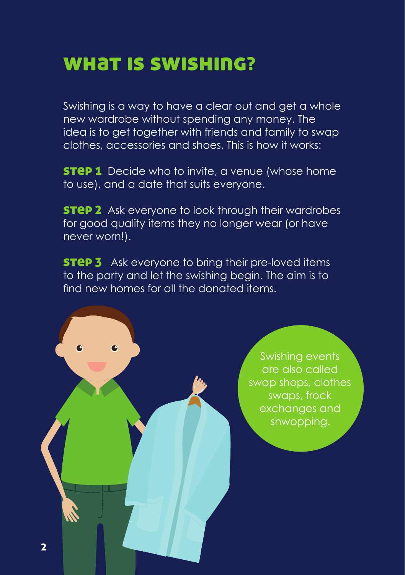# what is swishing?

Swishing is a way to have a clear out and get a whole new wardrobe without spending any money . The idea is to get together with friends and family to swap clothes, accessories and shoes . This is how it works:

**STEP 1** Decide who to invite, a venue (whose home to use), and a date that suits everyone.

**STEP 2** Ask everyone to look through their wardrobes for good quality items they no longer wear (or have never worn!) .

**STEP 3** Ask everyone to bring their pre-loved items to the party and let the swishing begin. The aim is to find new homes for all the donated items.

> Swishing events are also called swap shops, clothes swaps, frock exchanges and shwopping.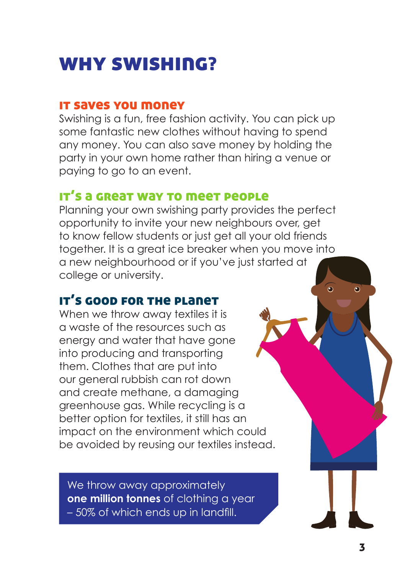# why swishing?

#### it saves you money

Swishing is a fun, free fashion activity. You can pick up some fantastic new clothes without having to spend any money . You can also save money by holding the party in your own home rather than hiring a venue or paying to go to an event.

#### it's a great way to meet people

Planning your own swishing party provides the perfect opportunity to invite your new neighbours over, get to know fellow students or just get all your old friends together. It is a great ice breaker when you move into a new neighbourhood or if you've just started at college or university.

#### it's good for the planet

When we throw away textiles it is a waste of the resources such as energy and water that have gone into producing and transporting them. Clothes that are put into our general rubbish can rot down and create methane, a damaging greenhouse gas. While recycling is a better option for textiles, it still has an impact on the environment which could be avoided by reusing our textiles instead .

 We throw away approximately **one million tonnes** of clothing a year – 50% of which ends up in landfill.

 $\odot$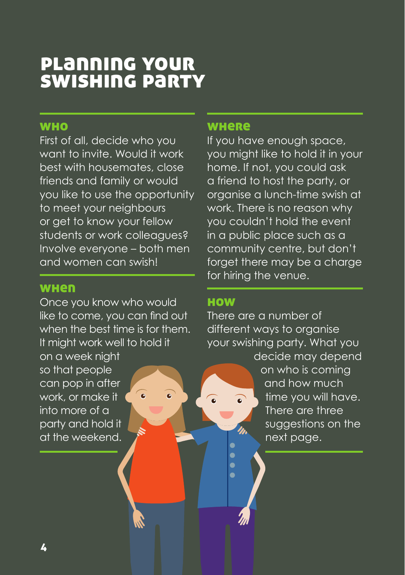## planning your swishing party

#### **WHO**

First of all, decide who you want to invite. Would it work best with housemates, close friends and family or would you like to use the opportunity to meet your neighbours or get to know your fellow students or work colleagues? Involve everyone – both men and women can swish!

#### **WHen**

when the best time is for them.<br>It might work well to hold it Once you know who would like to come, you can find out

on a week night at the weekend.  $\sum_{n=1}^{\infty}$  at the weekend .  $\sum_{n=1}^{\infty}$  are .

#### **WHERE**

If you have enough space, you might like to hold it in your home. If not, you could ask a friend to host the party, or organise a lunch-time swish at work. There is no reason why you couldn't hold the event in a public place such as a community centre, but don't forget there may be a charge for hiring the venue.

#### **HOW**

 $\bullet$  $\bullet$  $\bullet$ 

There are a number of different ways to organise your swishing party. What you

decide may depend so that people on who is coming can pop in after  $\sqrt{a}$  and how much work, or make it  $\left( \begin{array}{ccc} \bullet & \bullet \\ \bullet & \bullet \end{array} \right)$  and time you will have. into more of a  $\blacksquare$  There are three party and hold it  $\left| \right|$  suggestions on the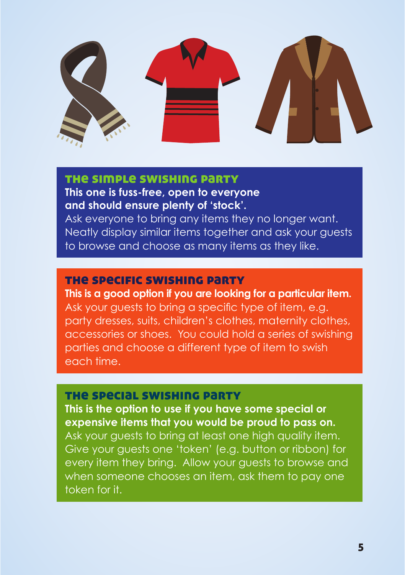

#### the simple swishing party **This one is fuss-free, open to everyone**

**and should ensure plenty of 'stock'.** 

Ask everyone to bring any items they no longer want. Neatly display similar items together and ask your quests to browse and choose as many items as they like.

#### the specific swishing party

**This is a good option if you are looking for a particular item.**  Ask your guests to bring a specific type of item, e.g. party dresses, suits, children's clothes, maternity clothes, accessories or shoes. You could hold a series of swishing parties and choose a different type of item to swish each time.

#### the special swishing party

**This is the option to use if you have some special or expensive items that you would be proud to pass on.**  Ask your quests to bring at least one high quality item. Give your guests one 'token' (e .g . button or ribbon) for every item they bring. Allow your guests to browse and when someone chooses an item, ask them to pay one token for it .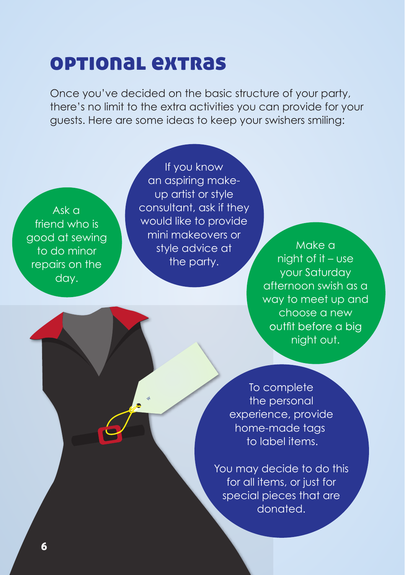# optional extras

Once you've decided on the basic structure of your party, there's no limit to the extra activities you can provide for your guests. Here are some ideas to keep your swishers smiling:

good at sewing repairs on the day.

If you know an aspiring makeup artist or style  $\overline{A}$  ask a consultant, ask if they friend who is would like to provide<br>and at sewing mini makeovers or to do minor style advice at<br>engins on the state of the party.

ith love from ...............................

W

Make a night of it – use your Saturday afternoon swish as a way to meet up and choose a new outfit before a big night out.

To complete the personal experience, provide home-made tags to label items.

You may decide to do this for all items, or just for special pieces that are donated.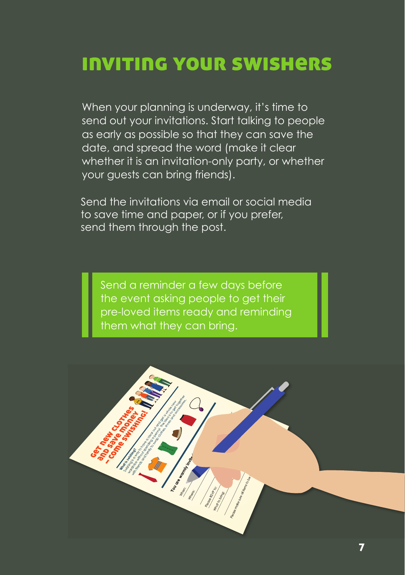## inviting your swishers

When your planning is underway, it's time to send out your invitations. Start talking to people as early as possible so that they can save the date, and spread the word (make it clear whether it is an invitation-only party, or whether your guests can bring friends).

Send the invitations via email or social media to save time and paper, or if you prefer, send them through the post.

Send a reminder a few days before the event asking people to get their pre-loved items ready and reminding them what they can bring.

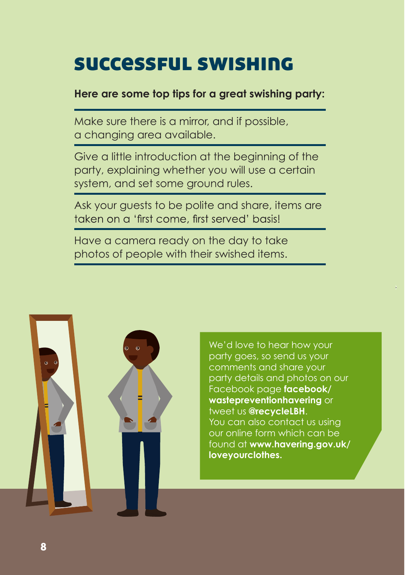# successful swishing

#### **Here are some top tips for a great swishing party:**

Make sure there is a mirror, and if possible, a changing area available.

Give a little introduction at the beginning of the party, explaining whether you will use a certain system, and set some ground rules.

Ask your guests to be polite and share, items are taken on a 'first come, first served' basis!

Have a camera ready on the day to take photos of people with their swished items.



tweet us @recycleLBH. We'd love to hear how your party goes, so send us your comments and share your party details and photos on our Facebook page **facebook/ wastepreventionhavering** or You can also contact us using our online form which can be found at **www.havering.gov.uk/ loveyourclothes.**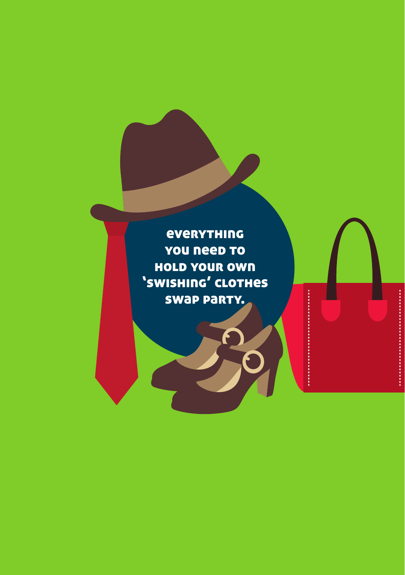**everything** you need to hold your own 'swishing' clothes swap party.

f